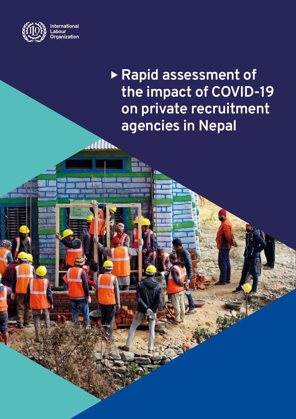

International<br>Labour<br>Organization

dh.

**Rapid assessment of the impact of COVID-19 on private recruitment agencies in Nepal**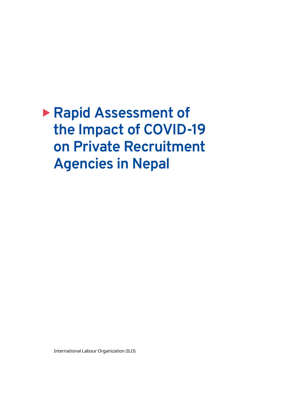**Rapid Assessment of the Impact of COVID-19 on Private Recruitment Agencies in Nepal**

International Labour Organization (ILO)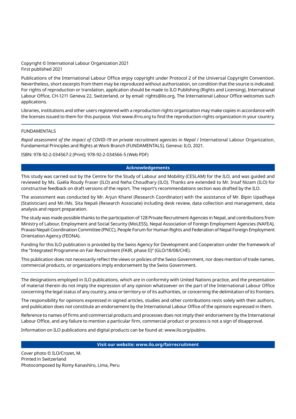Copyright © International Labour Organization 2021 First published 2021

Publications of the International Labour Office enjoy copyright under Protocol 2 of the Universal Copyright Convention. Nevertheless, short excerpts from them may be reproduced without authorization, on condition that the source is indicated. For rights of reproduction or translation, application should be made to ILO Publishing (Rights and Licensing), International Labour Office, CH-1211 Geneva 22, Switzerland, or by email: rights@ilo.org. The International Labour Office welcomes such applications.

Libraries, institutions and other users registered with a reproduction rights organization may make copies in accordance with the licenses issued to them for this purpose. Visit www.ifrro.org to find the reproduction rights organization in your country.

#### FUNDAMENTALS

*Rapid assessment of the impact of COVID-19 on private recruitment agencies in Nepal / International Labour Organization,* Fundamental Principles and Rights at Work Branch (FUNDAMENTALS), Geneva: ILO, 2021.

ISBN: 978-92-2-034567-2 (Print); 978-92-2-034566-5 (Web PDF)

#### **Acknowledgements**

This study was carried out by the Centre for the Study of Labour and Mobility (CESLAM) for the ILO, and was guided and reviewed by Ms. Gaëla Roudy Fraser (ILO) and Neha Choudhary (ILO). Thanks are extended to Mr. Insaf Nizam (ILO) for constructive feedback on draft versions of the report. The report's recommendations section was drafted by the ILO.

The assessment was conducted by Mr. Arjun Kharel (Research Coordinator) with the assistance of Mr. Bipin Upadhaya (Statistician) and Mr./Ms. Sita Nepali (Research Associate) including desk review, data collection and management, data analysis and report preparation.

The study was made possible thanks to the participation of 128 Private Recruitment Agencies in Nepal, and contributions from Ministry of Labour, Employment and Social Security (MoLESS), Nepal Association of Foreign Employment Agencies (NAFEA), Pravasi Nepali Coordination Committee (PNCC), People Forum for Human Rights and Federation of Nepal Foreign Employment Orientation Agency (FEONA).

Funding for this ILO publication is provided by the Swiss Agency for Development and Cooperation under the framework of the "Integrated Programme on Fair Recruitment (FAIR, phase II)" (GLO/18/08/CHE).

This publication does not necessarily reflect the views or policies of the Swiss Government, nor does mention of trade names, commercial products, or organizations imply endorsement by the Swiss Government.

The designations employed in ILO publications, which are in conformity with United Nations practice, and the presentation of material therein do not imply the expression of any opinion whatsoever on the part of the International Labour Office concerning the legal status of any country, area or territory or of its authorities, or concerning the delimitation of its frontiers.

The responsibility for opinions expressed in signed articles, studies and other contributions rests solely with their authors, and publication does not constitute an endorsement by the International Labour Office of the opinions expressed in them.

Reference to names of firms and commercial products and processes does not imply their endorsement by the International Labour Office, and any failure to mention a particular firm, commercial product or process is not a sign of disapproval.

Information on ILO publications and digital products can be found at: www.ilo.org/publns.

#### **Visit our website: www.ilo.org/fairrecruitment**

Cover photo © ILO/Crozet, M. Printed in Switzerland Photocomposed by Romy Kanashiro, Lima, Peru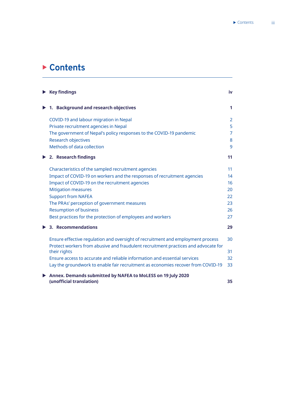# ▶ Contents

| <b>Key findings</b>                                                                                | iv             |
|----------------------------------------------------------------------------------------------------|----------------|
| 1. Background and research objectives                                                              | 1              |
| COVID-19 and labour migration in Nepal                                                             | $\overline{2}$ |
| Private recruitment agencies in Nepal                                                              | 5              |
| The government of Nepal's policy responses to the COVID-19 pandemic                                | $\overline{7}$ |
| <b>Research objectives</b>                                                                         | 8              |
| Methods of data collection                                                                         | 9              |
| 2. Research findings                                                                               | 11             |
| Characteristics of the sampled recruitment agencies                                                | 11             |
| Impact of COVID-19 on workers and the responses of recruitment agencies                            | 14             |
| Impact of COVID-19 on the recruitment agencies                                                     | 16             |
| <b>Mitigation measures</b>                                                                         | 20             |
| <b>Support from NAFEA</b>                                                                          | 22             |
| The PRAs' perception of government measures                                                        | 23             |
| <b>Resumption of business</b>                                                                      | 26             |
| Best practices for the protection of employees and workers                                         | 27             |
| 3. Recommendations                                                                                 | 29             |
| Ensure effective regulation and oversight of recruitment and employment process                    | 30             |
| Protect workers from abusive and fraudulent recruitment practices and advocate for<br>their rights | 31             |
| Ensure access to accurate and reliable information and essential services                          | 32             |
| Lay the groundwork to enable fair recruitment as economies recover from COVID-19                   | 33             |
| Annex. Demands submitted by NAFEA to MoLESS on 19 July 2020<br>(unofficial translation)            | 35             |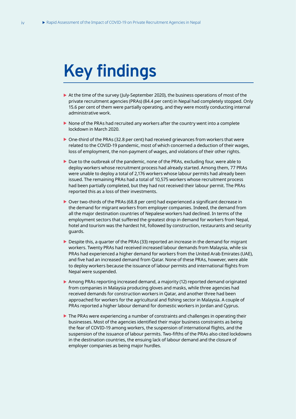# **Key findings**

- At the time of the survey (July-September 2020), the business operations of most of the private recruitment agencies (PRAs) (84.4 per cent) in Nepal had completely stopped. Only 15.6 per cent of them were partially operating, and they were mostly conducting internal administrative work.
- $\triangleright$  None of the PRAs had recruited any workers after the country went into a complete lockdown in March 2020.
- $\triangleright$  One-third of the PRAs (32.8 per cent) had received grievances from workers that were related to the COVID-19 pandemic, most of which concerned a deduction of their wages, loss of employment, the non-payment of wages, and violations of their other rights.
- $\triangleright$  Due to the outbreak of the pandemic, none of the PRAs, excluding four, were able to deploy workers whose recruitment process had already started. Among them, 77 PRAs were unable to deploy a total of 2,176 workers whose labour permits had already been issued. The remaining PRAs had a total of 10,575 workers whose recruitment process had been partially completed, but they had not received their labour permit. The PRAs reported this as a loss of their investments.
- $\triangleright$  Over two-thirds of the PRAs (68.8 per cent) had experienced a significant decrease in the demand for migrant workers from employer companies. Indeed, the demand from all the major destination countries of Nepalese workers had declined. In terms of the employment sectors that suffered the greatest drop in demand for workers from Nepal, hotel and tourism was the hardest hit, followed by construction, restaurants and security guards.
- $\triangleright$  Despite this, a quarter of the PRAs (33) reported an increase in the demand for migrant workers. Twenty PRAs had received increased labour demands from Malaysia, while six PRAs had experienced a higher demand for workers from the United Arab Emirates (UAE), and five had an increased demand from Qatar. None of these PRAs, however, were able to deploy workers because the issuance of labour permits and international flights from Nepal were suspended.
- $\triangleright$  Among PRAs reporting increased demand, a majority (12) reported demand originated from companies in Malaysia producing gloves and masks, while three agencies had received demands for construction workers in Qatar, and another three had been approached for workers for the agricultural and fishing sector in Malaysia. A couple of PRAs reported a higher labour demand for domestic workers in Jordan and Cyprus.
- $\blacktriangleright$  The PRAs were experiencing a number of constraints and challenges in operating their businesses. Most of the agencies identified their major business constraints as being the fear of COVID-19 among workers, the suspension of international flights, and the suspension of the issuance of labour permits. Two-fifths of the PRAs also cited lockdowns in the destination countries, the ensuing lack of labour demand and the closure of employer companies as being major hurdles.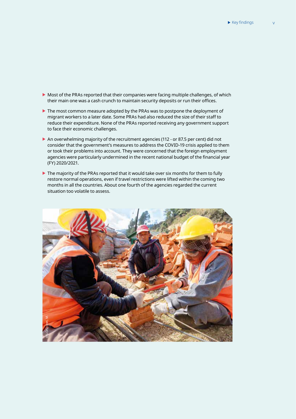- $\blacktriangleright$  Most of the PRAs reported that their companies were facing multiple challenges, of which their main one was a cash crunch to maintain security deposits or run their offices.
- $\blacktriangleright$  The most common measure adopted by the PRAs was to postpone the deployment of migrant workers to a later date. Some PRAs had also reduced the size of their staff to reduce their expenditure. None of the PRAs reported receiving any government support to face their economic challenges.
- An overwhelming majority of the recruitment agencies (112 or 87.5 per cent) did not consider that the government's measures to address the COVID-19 crisis applied to them or took their problems into account. They were concerned that the foreign employment agencies were particularly undermined in the recent national budget of the financial year (FY) 2020/2021.
- $\triangleright$  The majority of the PRAs reported that it would take over six months for them to fully restore normal operations, even if travel restrictions were lifted within the coming two months in all the countries. About one fourth of the agencies regarded the current situation too volatile to assess.

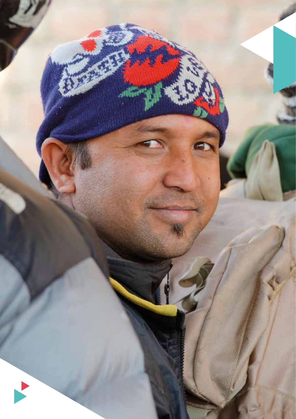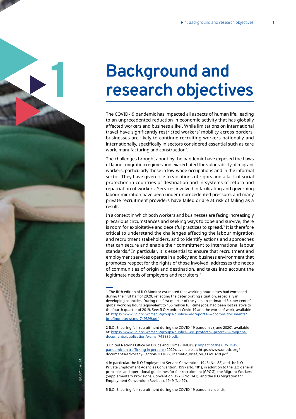

The COVID-19 pandemic has impacted all aspects of human life, leading to an unprecedented reduction in economic activity that has globally affected workers and business alike1 . While limitations on international travel have significantly restricted workers' mobility across borders, businesses are likely to continue recruiting workers nationally and internationally, specifically in sectors considered essential such as care work, manufacturing and construction2.

The challenges brought about by the pandemic have exposed the flaws of labour migration regimes and exacerbated the vulnerability of migrant workers, particularly those in low-wage occupations and in the informal sector. They have given rise to violations of rights and a lack of social protection in countries of destination and in systems of return and repatriation of workers. Services involved in facilitating and governing labour migration have been under unprecedented pressure, and many private recruitment providers have failed or are at risk of failing as a result.

In a context in which both workers and businesses are facing increasingly precarious circumstances and seeking ways to cope and survive, there is room for exploitative and deceitful practices to spread. $^3$  It is therefore critical to understand the challenges affecting the labour migration and recruitment stakeholders, and to identify actions and approaches that can secure and enable their commitment to international labour standards.4 In particular, it is essential to ensure that recruitment and employment services operate in a policy and business environment that promotes respect for the rights of those involved, addresses the needs of communities of origin and destination, and takes into account the legitimate needs of employers and recruiters.5

2 ILO: Ensuring fair recruitment during the COVID-19 pandemic (June 2020), available at: https://www.ilo.org/wcmsp5/groups/public/---ed\_protect/---protrav/---migrant/ documents/publication/wcms\_748839.pdf.

3 United Nations Office on Drugs and Crime (UNODC): Impact of the COVID-19 pandemic on trafficking in persons (2020), available at: https://www.unodc.org/ documents/Advocacy-Section/HTMSS\_Thematic\_Brief\_on\_COVID-19.pdf

4 In particular the ILO Employment Service Convention, 1948 (No. 88) and the ILO Private Employment Agencies Convention, 1997 (No. 181), in addition to the ILO general principles and operational guidelines for fair recruitment (GPOG), the Migrant Workers (Supplementary Provisions) Convention, 1975 (No. 143), and the ILO Migration for Employment Convention (Revised), 1949 (No.97).

5 ILO: Ensuring fair recruitment during the COVID-19 pandemic, op. cit.

**1**

<sup>1</sup> The fifth edition of ILO Monitor estimated that working hour losses had worsened during the first half of 2020, reflecting the deteriorating situation, especially in developing countries. During the first quarter of the year, an estimated 5.4 per cent of global working hours (equivalent to 155 million full-time jobs) had been lost relative to the fourth quarter of 2019. See: ILO Monitor: Covid-19 and the world of work, available at: https://www.ilo.org/wcmsp5/groups/public/---dgreports/---dcomm/documents/ briefingnote/wcms\_749399.pdf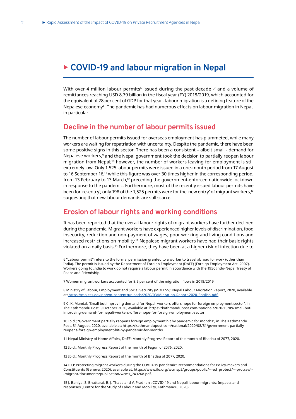## ▶ COVID-19 and labour migration in Nepal

With over 4 million labour permits<sup>6</sup> issued during the past decade  $-7$  and a volume of remittances reaching USD 8.79 billion in the fiscal year (FY) 2018/2019, which accounted for the equivalent of 28 per cent of GDP for that year - labour migration is a defining feature of the Nepalese economy8. The pandemic has had numerous effects on labour migration in Nepal, in particular:

## **Decline in the number of labour permits issued**

The number of labour permits issued for overseas employment has plummeted, while many workers are waiting for repatriation with uncertainty. Despite the pandemic, there have been some positive signs in this sector. There has been a consistent – albeit small - demand for Nepalese workers,<sup>9</sup> and the Nepal government took the decision to partially reopen labour migration from Nepal;10 however, the number of workers leaving for employment is still extremely low. Only 1,525 labour permits were issued in a one-month period from 17 August to 16 September 16,<sup>11</sup> while this figure was over 30 times higher in the corresponding period, from 13 February to 13 March,<sup>12</sup> preceding the government-enforced nationwide lockdown in response to the pandemic. Furthermore, most of the recently issued labour permits have been for 're-entry'; only 198 of the 1,525 permits were for the 'new entry' of migrant workers,<sup>13</sup> suggesting that new labour demands are still scarce.

## **Erosion of labour rights and working conditions**

It has been reported that the overall labour rights of migrant workers have further declined during the pandemic. Migrant workers have experienced higher levels of discrimination, food insecurity, reduction and non-payment of wages, poor working and living conditions and increased restrictions on mobility.14 Nepalese migrant workers have had their basic rights violated on a daily basis.15 Furthermore, they have been at a higher risk of infection due to

8 Ministry of Labour, Employment and Social Security (MOLESS): Nepal Labour Migration Report, 2020, available at: https://moless.gov.np/wp-content/uploads/2020/03/Migration-Report-2020-English.pdf.

9 C. K. Mandal: 'Small but improving demand for Nepali workers offers hope for foreign employment sector', in The Kathmandu Post, 9 October 2020, available at: https://kathmandupost.com/national/2020/10/09/small-butimproving-demand-for-nepali-workers-offers-hope-for-foreign-employment-sector

10 Ibid.; "Government partially reopens foreign employment hit by pandemic for months", in The Kathmandu Post, 31 August, 2020, available at: https://kathmandupost.com/national/2020/08/31/government-partiallyreopens-foreign-employment-hit-by-pandemic-for-months

11 Nepal Ministry of Home Affairs, DoFE: Monthly Progress Report of the month of Bhadau of 2077, 2020.

12 Ibid.: Monthly Progress Report of the month of Fagun of 2076, 2020.

13 Ibid.: Monthly Progress Report of the month of Bhadau of 2077, 2020.

14 ILO: Protecting migrant workers during the COVID-19 pandemic: Recommendations for Policy-makers and Constituents (Geneva, 2020), available at: https://www.ilo.org/wcmsp5/groups/public/---ed\_protect/---protrav/-- -migrant/documents/publication/wcms\_743268.pdf.

15 J. Baniya, S. Bhattarai, B. J. Thapa and V. Pradhan : COVID-19 and Nepali labour migrants: Impacts and responses (Centre for the Study of Labour and Mobility, Kathmandu, 2020)

<sup>6 &</sup>quot;Labour permit" refers to the formal permission granted to a worker to travel abroad for work (other than India). The permit is issued by the Department of Foreign Employment (DoFE) (Foreign Employment Act, 2007). Workers going to India to work do not require a labour permit in accordance with the 1950 Indo-Nepal Treaty of Peace and Friendship.

<sup>7</sup> Women migrant workers accounted for 8.5 per cent of the migration flows in 2018/2019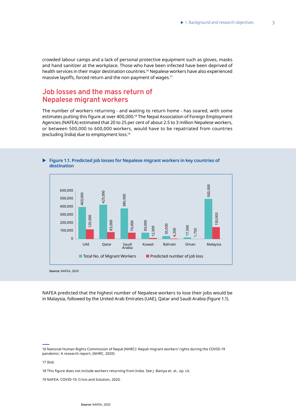crowded labour camps and a lack of personal protective equipment such as gloves, masks and hand sanitizer at the workplace. Those who have been infected have been deprived of health services in their major destination countries.16 Nepalese workers have also experienced massive layoffs, forced return and the non-payment of wages.<sup>17</sup>

## **Job losses and the mass return of Nepalese migrant workers**

The number of workers returning - and waiting to return home - has soared, with some estimates putting this figure at over 400,000.18 The Nepal Association of Foreign Employment Agencies (NAFEA) estimated that 20 to 25 per cent of about 2.5 to 3 million Nepalese workers, or between 500,000 to 600,000 workers, would have to be repatriated from countries (excluding India) due to employment loss.19



▶ Figure 1.1. Predicted job losses for Nepalese migrant workers in key countries of **destination**

**Source**: NAFEA, 2020

NAFEA predicted that the highest number of Nepalese workers to lose their jobs would be in Malaysia, followed by the United Arab Emirates (UAE), Qatar and Saudi Arabia (figure 1.1).

16 National Human Rights Commission of Nepal (NHRC): Nepali migrant workers' rights during the COVID-19 pandemic: A research report, (NHRC, 2020)

17 Ibid.

18 This figure does not include workers returning from India. See J. Baniya et. al., op. cit.

19 NAFEA: COVID-19, Crisis and Solution, 2020.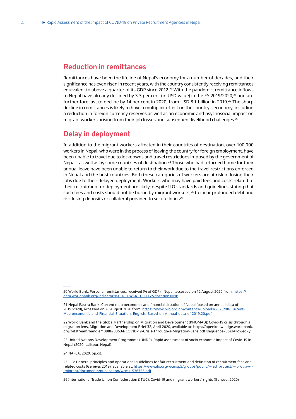### **Reduction in remittances**

Remittances have been the lifeline of Nepal's economy for a number of decades, and their significance has even risen in recent years, with the country consistently receiving remittances equivalent to above a quarter of its GDP since 2012.<sup>20</sup> With the pandemic, remittance inflows to Nepal have already declined by 3.3 per cent (in USD value) in the FY 2019/2020,<sup>21</sup> and are further forecast to decline by 14 per cent in 2020, from USD 8.1 billion in 2019.22 The sharp decline in remittances is likely to have a multiplier effect on the country's economy, including a reduction in foreign currency reserves as well as an economic and psychosocial impact on migrant workers arising from their job losses and subsequent livelihood challenges.23

### **Delay in deployment**

In addition to the migrant workers affected in their countries of destination, over 100,000 workers in Nepal, who were in the process of leaving the country for foreign employment, have been unable to travel due to lockdowns and travel restrictions imposed by the government of Nepal - as well as by some countries of destination.24 Those who had returned home for their annual leave have been unable to return to their work due to the travel restrictions enforced in Nepal and the host countries. Both these categories of workers are at risk of losing their jobs due to their delayed deployment. Workers who may have paid fees and costs related to their recruitment or deployment are likely, despite ILO standards and guidelines stating that such fees and costs should not be borne by migrant workers, $25$  to incur prolonged debt and risk losing deposits or collateral provided to secure loans<sup>26</sup>.

23 United Nations Development Programme (UNDP): Rapid assessment of socio economic impact of Covid-19 in Nepal (2020, Lalitpur, Nepal).

24 NAFEA, 2020, op.cit.

<sup>20</sup> World Bank: Personal remittances, received (% of GDP) - Nepal, accessed on 12 August 2020 from: https:// data.worldbank.org/indicator/BX.TRF.PWKR.DT.GD.ZS?locations=NP

<sup>21</sup> Nepal Rastra Bank: Current macroeconomic and financial situation of Nepal (based on annual data of 2019/2020), accessed on 28 August 2020 from: https://www.nrb.org.np/contents/uploads/2020/08/Current-Macroeconomic-and-Financial-Situation.-English.-Based-on-Annual-data-of-2019.20.pdf

<sup>22</sup> World Bank and the Global Partnership on Migration and Development (KNOMAD): Covid-19 crisis through a migration lens, Migration and Development Brief 32, April 2020, available at: https://openknowledge.worldbank. org/bitstream/handle/10986/33634/COVID-19-Crisis-Through-a-Migration-Lens.pdf?sequence=5&isAllowed=y.

<sup>25</sup> ILO: General principles and operational guidelines for fair recruitment and definition of recruitment fees and related costs (Geneva, 2019), available at: https://www.ilo.org/wcmsp5/groups/public/---ed\_protect/---protrav/-- -migrant/documents/publication/wcms\_536755.pdf

<sup>26</sup> International Trade Union Confederation (ITUC): Covid-19 and migrant workers' rights (Geneva, 2020)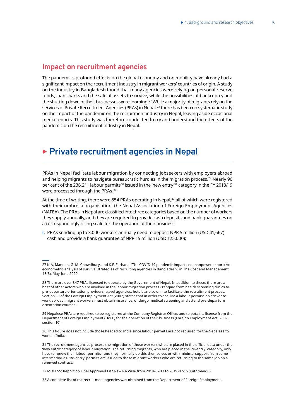## **Impact on recruitment agencies**

The pandemic's profound effects on the global economy and on mobility have already had a significant impact on the recruitment industry in migrant workers' countries of origin. A study on the industry in Bangladesh found that many agencies were relying on personal reserve funds, loan sharks and the sale of assets to survive, while the possibilities of bankruptcy and the shutting down of their businesses were looming.27 While a majority of migrants rely on the services of Private Recruitment Agencies (PRAs) in Nepal,<sup>28</sup> there has been no systematic study on the impact of the pandemic on the recruitment industry in Nepal, leaving aside occasional media reports. This study was therefore conducted to try and understand the effects of the pandemic on the recruitment industry in Nepal.

## **Private recruitment agencies in Nepal**

PRAs in Nepal facilitate labour migration by connecting jobseekers with employers abroad and helping migrants to navigate bureaucratic hurdles in the migration process.<sup>29</sup> Nearly 90 per cent of the 236,211 labour permits<sup>30</sup> issued in the 'new entry'<sup>31</sup> category in the FY 2018/19 were processed through the PRAs.32

At the time of writing, there were 854 PRAs operating in Nepal,<sup>33</sup> all of which were registered with their umbrella organisation, the Nepal Association of Foreign Employment Agencies (NAFEA). The PRAs in Nepal are classified into three categories based on the number of workers they supply annually, and they are required to provide cash deposits and bank guarantees on a correspondingly rising scale for the operation of their business:

**i.** PRAs sending up to 3,000 workers annually need to deposit NPR 5 million (USD 41,667) cash and provide a bank guarantee of NPR 15 million (USD 125,000);

33 A complete list of the recruitment agencies was obtained from the Department of Foreign Employment.

<sup>27</sup> K.A, Mannan, G. M. Chowdhury, and K.F. Farhana: 'The COVID-19 pandemic impacts on manpower export: An econometric analysis of survival strategies of recruiting agencies in Bangladesh', in The Cost and Management, 48(3), May-June 2020.

<sup>28</sup> There are over 847 PRAs licensed to operate by the Government of Nepal. In addition to these, there are a host of other actors who are involved in the labour migration process - ranging from health screening clinics to pre-departure orientation providers, travel agencies, hotels and so on - to facilitate the recruitment process. Section 19 of the Foreign Employment Act (2007) states that in order to acquire a labour permission sticker to work abroad, migrant workers must obtain insurance, undergo medical screening and attend pre-departure orientation courses.

<sup>29</sup> Nepalese PRAs are required to be registered at the Company Registrar Office, and to obtain a license from the Department of Foreign Employment (DoFE) for the operation of their business (Foreign Employment Act, 2007, section 10).

<sup>30</sup> This figure does not include those headed to India since labour permits are not required for the Nepalese to work in India.

<sup>31</sup> The recruitment agencies process the migration of those workers who are placed in the official data under the 'new entry' category of labour migration. The returning migrants, who are placed in the 're-entry' category, only have to renew their labour permits - and they normally do this themselves or with minimal support from some intermediaries. 'Re-entry' permits are issued to those migrant workers who are returning to the same job on a renewed contract.

<sup>32</sup> MOLESS: Report on Final Approved List New RA Wise from 2018-07-17 to 2019-07-16 (Kathmandu).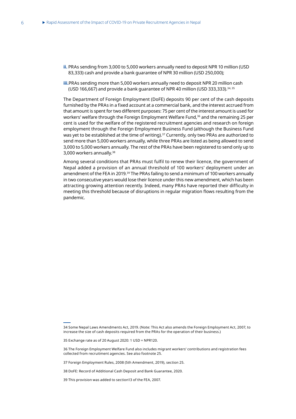- **ii.** PRAs sending from 3,000 to 5,000 workers annually need to deposit NPR 10 million (USD 83,333) cash and provide a bank guarantee of NPR 30 million (USD 250,000);
- **iii.**PRAs sending more than 5,000 workers annually need to deposit NPR 20 million cash (USD 166,667) and provide a bank quarantee of NPR 40 million (USD 333,333).<sup>34, 35</sup>

The Department of Foreign Employment (DoFE) deposits 90 per cent of the cash deposits furnished by the PRAs in a fixed account at a commercial bank, and the interest accrued from that amount is spent for two different purposes: 75 per cent of the interest amount is used for workers' welfare through the Foreign Employment Welfare Fund,<sup>36</sup> and the remaining 25 per cent is used for the welfare of the registered recruitment agencies and research on foreign employment through the Foreign Employment Business Fund (although the Business Fund was yet to be established at the time of writing).<sup>37</sup> Currently, only two PRAs are authorized to send more than 5,000 workers annually, while three PRAs are listed as being allowed to send 3,000 to 5,000 workers annually. The rest of the PRAs have been registered to send only up to 3,000 workers annually.38

Among several conditions that PRAs must fulfil to renew their licence, the government of Nepal added a provision of an annual threshold of 100 workers' deployment under an amendment of the FEA in 2019.<sup>39</sup> The PRAs failing to send a minimum of 100 workers annually in two consecutive years would lose their licence under this new amendment, which has been attracting growing attention recently. Indeed, many PRAs have reported their difficulty in meeting this threshold because of disruptions in regular migration flows resulting from the pandemic.

<sup>34</sup> Some Nepal Laws Amendments Act, 2019. (Note: This Act also amends the Foreign Employment Act, 2007, to increase the size of cash deposits required from the PRAs for the operation of their business.)

<sup>35</sup> Exchange rate as of 20 August 2020: 1 USD = NPR120.

<sup>36</sup> The Foreign Employment Welfare Fund also includes migrant workers' contributions and registration fees collected from recruitment agencies. See also footnote 25.

<sup>37</sup> Foreign Employment Rules, 2008 (5th Amendment, 2019), section 25.

<sup>38</sup> DoFE: Record of Additional Cash Deposit and Bank Guarantee, 2020.

<sup>39</sup> This provision was added to section13 of the FEA, 2007.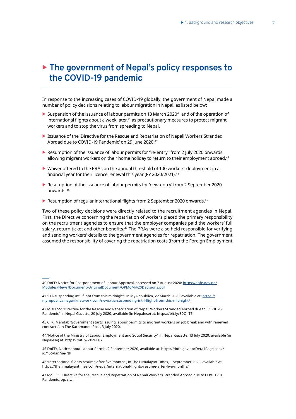## ▶ The government of Nepal's policy responses to **the COVID-19 pandemic**

In response to the increasing cases of COVID-19 globally, the government of Nepal made a number of policy decisions relating to labour migration in Nepal, as listed below:

- $\triangleright$  Suspension of the issuance of labour permits on 13 March 2020<sup>40</sup> and of the operation of  $intermational flights about a week later,<sup>41</sup> as precautionary measures to protect migrant$ workers and to stop the virus from spreading to Nepal.
- Issuance of the 'Directive for the Rescue and Repatriation of Nepali Workers Stranded Abroad due to COVID-19 Pandemic' on 29 June 2020.42
- ▶ Resumption of the issuance of labour permits for "re-entry" from 2 July 2020 onwards, allowing migrant workers on their home holiday to return to their employment abroad.<sup>43</sup>
- $\triangleright$  Waiver offered to the PRAs on the annual threshold of 100 workers' deployment in a financial year for their licence renewal this year (FY 2020/2021).<sup>44</sup>
- ▶ Resumption of the issuance of labour permits for 'new-entry' from 2 September 2020 onwards.45
- $\triangleright$  Resumption of regular international flights from 2 September 2020 onwards.<sup>46</sup>

Two of these policy decisions were directly related to the recruitment agencies in Nepal. First, the Directive concerning the repatriation of workers placed the primary responsibility on the recruitment agencies to ensure that the employer companies paid the workers' full salary, return ticket and other benefits.<sup>47</sup> The PRAs were also held responsible for verifying and sending workers' details to the government agencies for repatriation. The government assumed the responsibility of covering the repatriation costs (from the Foreign Employment

<sup>40</sup> DoFE: Notice for Postponement of Labour Approval, accessed on 7 August 2020: https://dofe.gov.np/ Modules/News/Document/OriginalDocument/OPMCM%20Decisions.pdf

<sup>41 &#</sup>x27;TIA suspending int'l flight from this midnight', in My Republica, 22 March 2020, available at: https:// myrepublica.nagariknetwork.com/news/tia-suspending-int-l-flight-from-this-midnight/

<sup>42</sup> MOLESS: 'Directive for the Rescue and Repatriation of Nepali Workers Stranded Abroad due to COVID-19 Pandemic', in Nepal Gazette, 20 July 2020, available (in Nepalese) at: https://bit.ly/30QllT5.

<sup>43</sup> C. K. Mandal: 'Government starts issuing labour permits to migrant workers on job break and with renewed contracts', in The Kathmandu Post, 3 July 2020.

<sup>44 &#</sup>x27;Notice of the Ministry of Labour Employment and Social Security', in Nepal Gazette, 13 July 2020, available (in Nepalese) at: https://bit.ly/2XZPlKG.

<sup>45</sup> DoFE:, Notice about Labour Permit, 2 September 2020, available at: https://dofe.gov.np/DetailPage.aspx/ id/156/lan/ne-NP

<sup>46 &#</sup>x27;International flights resume after five months', in The Himalayan Times, 1 September 2020, available at: https://thehimalayantimes.com/nepal/international-flights-resume-after-five-months/

<sup>47</sup> MoLESS: Directive for the Rescue and Repatriation of Nepali Workers Stranded Abroad due to COVID -19 Pandemic, op. cit.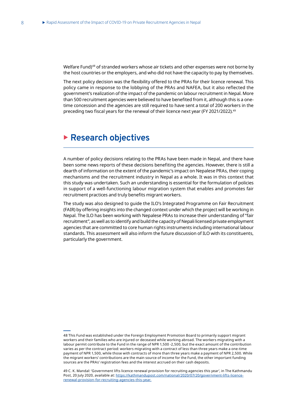Welfare Fund)<sup>48</sup> of stranded workers whose air tickets and other expenses were not borne by the host countries or the employers, and who did not have the capacity to pay by themselves.

The next policy decision was the flexibility offered to the PRAs for their licence renewal. This policy came in response to the lobbying of the PRAs and NAFEA, but it also reflected the government's realization of the impact of the pandemic on labour recruitment in Nepal. More than 500 recruitment agencies were believed to have benefited from it, although this is a onetime concession and the agencies are still required to have sent a total of 200 workers in the preceding two fiscal years for the renewal of their licence next year (FY 2021/2022).49

## ▶ Research objectives

A number of policy decisions relating to the PRAs have been made in Nepal, and there have been some news reports of these decisions benefiting the agencies. However, there is still a dearth of information on the extent of the pandemic's impact on Nepalese PRAs, their coping mechanisms and the recruitment industry in Nepal as a whole. It was in this context that this study was undertaken. Such an understanding is essential for the formulation of policies in support of a well-functioning labour migration system that enables and promotes fair recruitment practices and truly benefits migrant workers.

The study was also designed to guide the ILO's Integrated Programme on Fair Recruitment (FAIR) by offering insights into the changed context under which the project will be working in Nepal. The ILO has been working with Nepalese PRAs to increase their understanding of "fair recruitment", as well as to identify and build the capacity of Nepali licensed private employment agencies that are committed to core human rights instruments including international labour standards. This assessment will also inform the future discussion of ILO with its constituents, particularly the government.

<sup>48</sup> This Fund was established under the Foreign Employment Promotion Board to primarily support migrant workers and their families who are injured or deceased while working abroad. The workers migrating with a labour permit contribute to the Fund in the range of NPR 1,500 -2,500, but the exact amount of the contribution varies as per the contract period: workers migrating with a contract of less than three years make a one-time payment of NPR 1,500, while those with contracts of more than three years make a payment of NPR 2,500. While the migrant workers' contributions are the main source of income for the Fund, the other important funding sources are the PRAs' registration fees and the interest accrued on their cash deposits.

<sup>49</sup> C. K. Mandal: 'Government lifts licence renewal provision for recruiting agencies this year', in The Kathmandu Post, 20 July 2020, available at: https://kathmandupost.com/national/2020/07/20/government-lifts-licencerenewal-provision-for-recruiting-agencies-this-year.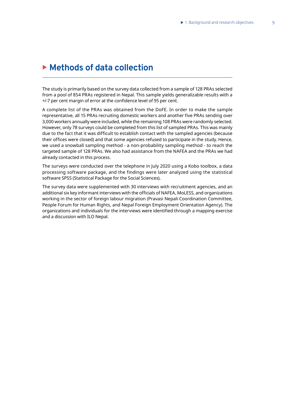## ▶ Methods of data collection

The study is primarily based on the survey data collected from a sample of 128 PRAs selected from a pool of 854 PRAs registered in Nepal. This sample yields generalizable results with a +/-7 per cent margin of error at the confidence level of 95 per cent.

A complete list of the PRAs was obtained from the DoFE. In order to make the sample representative, all 15 PRAs recruiting domestic workers and another five PRAs sending over 3,000 workers annually were included, while the remaining 108 PRAs were randomly selected. However, only 78 surveys could be completed from this list of sampled PRAs. This was mainly due to the fact that it was difficult to establish contact with the sampled agencies (because their offices were closed) and that some agencies refused to participate in the study. Hence, we used a snowball sampling method - a non-probability sampling method - to reach the targeted sample of 128 PRAs. We also had assistance from the NAFEA and the PRAs we had already contacted in this process.

The surveys were conducted over the telephone in July 2020 using a Kobo toolbox, a data processing software package, and the findings were later analyzed using the statistical software SPSS (Statistical Package for the Social Sciences).

The survey data were supplemented with 30 interviews with recruitment agencies, and an additional six key informant interviews with the officials of NAFEA, MoLESS, and organizations working in the sector of foreign labour migration (Pravasi Nepali Coordination Committee, People Forum for Human Rights, and Nepal Foreign Employment Orientation Agency). The organizations and individuals for the interviews were identified through a mapping exercise and a discussion with ILO Nepal.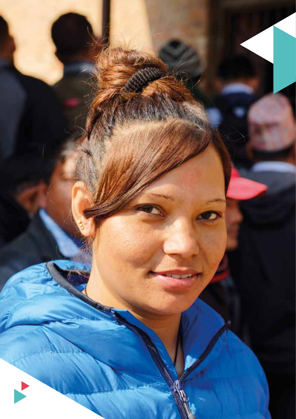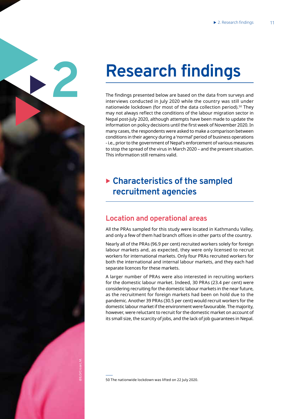

# **Research findings**

The findings presented below are based on the data from surveys and interviews conducted in July 2020 while the country was still under nationwide lockdown (for most of the data collection period).<sup>50</sup> They may not always reflect the conditions of the labour migration sector in Nepal post-July 2020, although attempts have been made to update the information on policy decisions until the first week of November 2020. In many cases, the respondents were asked to make a comparison between conditions in their agency during a 'normal' period of business operations - i.e., prior to the government of Nepal's enforcement of various measures to stop the spread of the virus in March 2020 – and the present situation. This information still remains valid.

# <sup>X</sup> **Characteristics of the sampled recruitment agencies**

## **Location and operational areas**

All the PRAs sampled for this study were located in Kathmandu Valley, and only a few of them had branch offices in other parts of the country.

Nearly all of the PRAs (96.9 per cent) recruited workers solely for foreign labour markets and, as expected, they were only licensed to recruit workers for international markets. Only four PRAs recruited workers for both the international and internal labour markets, and they each had separate licences for these markets.

A larger number of PRAs were also interested in recruiting workers for the domestic labour market. Indeed, 30 PRAs (23.4 per cent) were considering recruiting for the domestic labour markets in the near future, as the recruitment for foreign markets had been on hold due to the pandemic. Another 39 PRAs (30.5 per cent) would recruit workers for the domestic labour market if the environment were favourable. The majority, however, were reluctant to recruit for the domestic market on account of its small size, the scarcity of jobs, and the lack of job guarantees in Nepal.

50 The nationwide lockdown was lifted on 22 July 2020.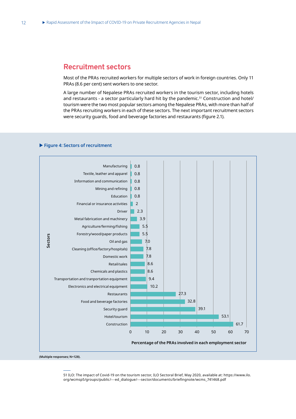### **Recruitment sectors**

Most of the PRAs recruited workers for multiple sectors of work in foreign countries. Only 11 PRAs (8.6 per cent) sent workers to one sector.

A large number of Nepalese PRAs recruited workers in the tourism sector, including hotels and restaurants - a sector particularly hard hit by the pandemic.<sup>51</sup> Construction and hotel/ tourism were the two most popular sectors among the Nepalese PRAs, with more than half of the PRAs recruiting workers in each of these sectors. The next important recruitment sectors were security guards, food and beverage factories and restaurants (figure 2.1).

#### X **Figure 4: Sectors of recruitment**



51 ILO: The impact of Covid-19 on the tourism sector, ILO Sectoral Brief, May 2020, available at: https://www.ilo. org/wcmsp5/groups/public/---ed\_dialogue/---sector/documents/briefingnote/wcms\_741468.pdf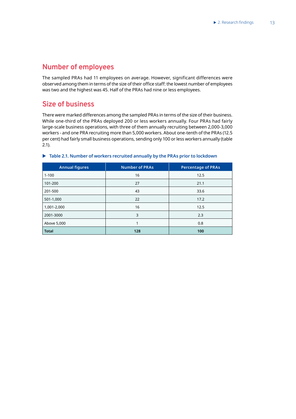## **Number of employees**

The sampled PRAs had 11 employees on average. However, significant differences were observed among them in terms of the size of their office staff: the lowest number of employees was two and the highest was 45. Half of the PRAs had nine or less employees.

## **Size of business**

There were marked differences among the sampled PRAs in terms of the size of their business. While one-third of the PRAs deployed 200 or less workers annually. Four PRAs had fairly large-scale business operations, with three of them annually recruiting between 2,000-3,000 workers - and one PRA recruiting more than 5,000 workers. About one-tenth of the PRAs (12.5 per cent) had fairly small business operations, sending only 100 or less workers annually (table 2.1).

| <b>Annual figures</b> | <b>Number of PRAs</b> | <b>Percentage of PRAs</b> |
|-----------------------|-----------------------|---------------------------|
| $1 - 100$             | 16                    | 12.5                      |
| 101-200               | 27                    | 21.1                      |
| 201-500               | 43                    | 33.6                      |
| 501-1,000             | 22                    | 17.2                      |
| 1,001-2,000           | 16                    | 12.5                      |
| 2001-3000             | 3                     | 2.3                       |
| Above 5,000           |                       | 0.8                       |
| <b>Total</b>          | 128                   | 100                       |

#### $\triangleright$  Table 2.1. Number of workers recruited annually by the PRAs prior to lockdown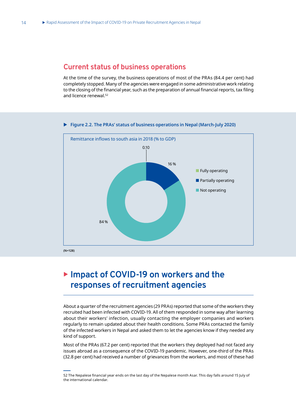## **Current status of business operations**

At the time of the survey, the business operations of most of the PRAs (84.4 per cent) had completely stopped. Many of the agencies were engaged in some administrative work relating to the closing of the financial year, such as the preparation of annual financial reports, tax filing and licence renewal.<sup>52</sup>



#### ▶ Figure 2.2. The PRAs' status of business operations in Nepal (March-July 2020)

# ▶ Impact of COVID-19 on workers and the **responses of recruitment agencies**

About a quarter of the recruitment agencies (29 PRAs) reported that some of the workers they recruited had been infected with COVID-19. All of them responded in some way after learning about their workers' infection, usually contacting the employer companies and workers regularly to remain updated about their health conditions. Some PRAs contacted the family of the infected workers in Nepal and asked them to let the agencies know if they needed any kind of support.

Most of the PRAs (67.2 per cent) reported that the workers they deployed had not faced any issues abroad as a consequence of the COVID-19 pandemic. However, one-third of the PRAs (32.8 per cent) had received a number of grievances from the workers, and most of these had

<sup>52</sup> The Nepalese financial year ends on the last day of the Nepalese month Asar. This day falls around 15 July of the international calendar.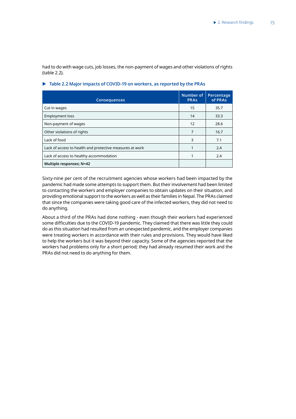had to do with wage cuts, job losses, the non-payment of wages and other violations of rights (table 2.2).

| <b>Consequences</b>                                      | Number of<br><b>PRAS</b> | Percentage<br>of PRAs |
|----------------------------------------------------------|--------------------------|-----------------------|
| Cut in wages                                             | 15                       | 35.7                  |
| <b>Employment loss</b>                                   | 14                       | 33.3                  |
| Non-payment of wages                                     | 12                       | 28.6                  |
| Other violations of rights                               | $\overline{7}$           | 16.7                  |
| Lack of food                                             | 3                        | 7.1                   |
| Lack of access to health and protective measures at work |                          | 2.4                   |
| Lack of access to healthy accommodation                  |                          | 2.4                   |
| Multiple responses; N=42                                 |                          |                       |

#### ▶ Table 2.2 Major impacts of COVID-19 on workers, as reported by the PRAs

Sixty-nine per cent of the recruitment agencies whose workers had been impacted by the pandemic had made some attempts to support them. But their involvement had been limited to contacting the workers and employer companies to obtain updates on their situation, and providing emotional support to the workers as well as their families in Nepal. The PRAs claimed that since the companies were taking good care of the infected workers, they did not need to do anything.

About a third of the PRAs had done nothing - even though their workers had experienced some difficulties due to the COVID-19 pandemic. They claimed that there was little they could do as this situation had resulted from an unexpected pandemic, and the employer companies were treating workers in accordance with their rules and provisions. They would have liked to help the workers but it was beyond their capacity. Some of the agencies reported that the workers had problems only for a short period; they had already resumed their work and the PRAs did not need to do anything for them.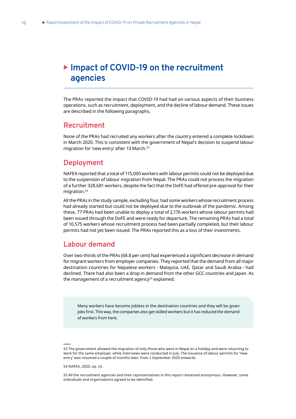## ▶ Impact of COVID-19 on the recruitment **agencies**

The PRAs reported the impact that COVID-19 had had on various aspects of their business operations, such as recruitment, deployment, and the decline of labour demand. These issues are described in the following paragraphs,

### **Recruitment**

None of the PRAs had recruited any workers after the country entered a complete lockdown in March 2020. This is consistent with the government of Nepal's decision to suspend labour migration for 'new entry' after 13 March.<sup>53</sup>

#### **Deployment**

NAFEA reported that a total of 115,000 workers with labour permits could not be deployed due to the suspension of labour migration from Nepal. The PRAs could not process the migration of a further 328,681 workers, despite the fact that the DoFE had offered pre-approval for their migration.<sup>54</sup>

All the PRAs in the study sample, excluding four, had some workers whose recruitment process had already started but could not be deployed due to the outbreak of the pandemic. Among these, 77 PRAs had been unable to deploy a total of 2,176 workers whose labour permits had been issued through the DoFE and were ready for departure. The remaining PRAs had a total of 10,575 workers whose recruitment process had been partially completed, but their labour permits had not yet been issued. The PRAs reported this as a loss of their investments.

## **Labour demand**

Over two-thirds of the PRAs (68.8 per cent) had experienced a significant decrease in demand for migrant workers from employer companies. They reported that the demand from all major destination countries for Nepalese workers - Malaysia, UAE, Qatar and Saudi Arabia - had declined. There had also been a drop in demand from the other GCC countries and Japan. As the management of a recruitment agency<sup>55</sup> explained:

Many workers have become jobless in the destination countries and they will be given jobs first. This way, the companies also get skilled workers but it has reduced the demand of workers from here.

<sup>53</sup> The government allowed the migration of only those who were in Nepal on a holiday and were returning to work for the same employer, while interviews were conducted in July. The issuance of labour permits for 'newentry' was resumed a couple of months later, from 2 September 2020 onwards.

<sup>54</sup> NAFEA, 2020, op. cit.

<sup>55</sup> All the recruitment agencies and their representatives in this report remained anonymous. However, some individuals and organizations agreed to be identified.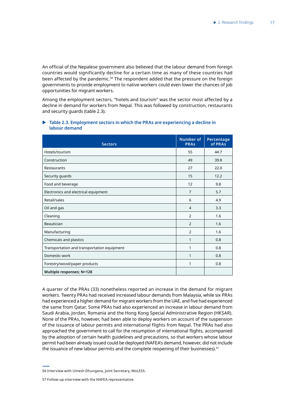An official of the Nepalese government also believed that the labour demand from foreign countries would significantly decline for a certain time as many of these countries had been affected by the pandemic.<sup>56</sup> The respondent added that the pressure on the foreign governments to provide employment to native workers could even lower the chances of job opportunities for migrant workers.

Among the employment sectors, "hotels and tourism" was the sector most affected by a decline in demand for workers from Nepal. This was followed by construction, restaurants and security guards (table 2.3).

#### ▶ Table 2.3. Employment sectors in which the PRAs are experiencing a decline in **labour demand**

| <b>Sectors</b>                              | <b>Number of</b><br><b>PRAs</b> | Percentage<br>of PRAs |
|---------------------------------------------|---------------------------------|-----------------------|
| Hotels/tourism                              | 55                              | 44.7                  |
| Construction                                | 49                              | 39.8                  |
| Restaurants                                 | 27                              | 22.0                  |
| Security guards                             | 15                              | 12.2                  |
| Food and beverage                           | 12                              | 9.8                   |
| Electronics and electrical equipment        | $\overline{7}$                  | 5.7                   |
| Retail/sales                                | 6                               | 4.9                   |
| Oil and gas                                 | $\overline{4}$                  | 3.3                   |
| Cleaning                                    | $\overline{2}$                  | 1.6                   |
| Beautician                                  | $\overline{2}$                  | 1.6                   |
| Manufacturing                               | $\overline{2}$                  | 1.6                   |
| Chemicals and plastics                      | 1                               | 0.8                   |
| Transportation and transportation equipment | 1                               | 0.8                   |
| Domestic work                               | 1                               | 0.8                   |
| Forestry/wood/paper products                | 1                               | 0.8                   |
| Multiple responses; N=128                   |                                 |                       |

A quarter of the PRAs (33) nonetheless reported an increase in the demand for migrant workers. Twenty PRAs had received increased labour demands from Malaysia, while six PRAs had experienced a higher demand for migrant workers from the UAE, and five had experienced the same from Qatar. Some PRAs had also experienced an increase in labour demand from Saudi Arabia, Jordan, Romania and the Hong Kong Special Administrative Region (HKSAR). None of the PRAs, however, had been able to deploy workers on account of the suspension of the issuance of labour permits and international flights from Nepal. The PRAs had also approached the government to call for the resumption of international flights, accompanied by the adoption of certain health guidelines and precautions, so that workers whose labour permit had been already issued could be deployed (NAFEA's demand, however, did not include the issuance of new labour permits and the complete reopening of their businesses).<sup>57</sup>

<sup>56</sup> Interview with Umesh Dhungana, Joint Secretary, MoLESS.

<sup>57</sup> Follow-up interview with the NAFEA representative.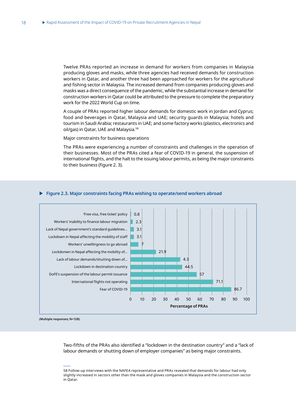Twelve PRAs reported an increase in demand for workers from companies in Malaysia producing gloves and masks, while three agencies had received demands for construction workers in Qatar, and another three had been approached for workers for the agricultural and fishing sector in Malaysia. The increased demand from companies producing gloves and masks was a direct consequence of the pandemic, while the substantial increase in demand for construction workers in Qatar could be attributed to the pressure to complete the preparatory work for the 2022 World Cup on time.

A couple of PRAs reported higher labour demands for domestic work in Jordan and Cyprus; food and beverages in Qatar, Malaysia and UAE; security guards in Malaysia; hotels and tourism in Saudi Arabia; restaurants in UAE; and some factory works (plastics, electronics and oil/gas) in Qatar, UAE and Malaysia.<sup>58</sup>

Major constraints for business operations

The PRAs were experiencing a number of constraints and challenges in the operation of their businesses. Most of the PRAs cited a fear of COVID-19 in general, the suspension of international flights, and the halt to the issuing labour permits, as being the major constraints to their business (figure 2. 3).

#### **Figure 2.3. Major constraints facing PRAs wishing to operate/send workers abroad**



**(Multiple responses; N=128).**

Two-fifths of the PRAs also identified a "lockdown in the destination country" and a "lack of labour demands or shutting down of employer companies" as being major constraints.

58 Follow-up interviews with the NAFEA representative and PRAs revealed that demands for labour had only slightly increased in sectors other than the mask and gloves companies in Malaysia and the construction sector in Qatar.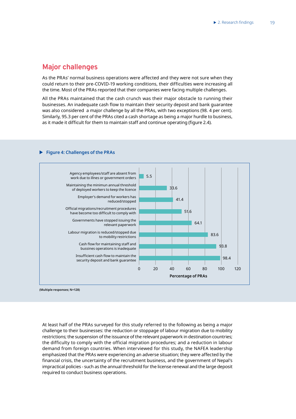#### **Major challenges**

As the PRAs' normal business operations were affected and they were not sure when they could return to their pre-COVID-19 working conditions, their difficulties were increasing all the time. Most of the PRAs reported that their companies were facing multiple challenges.

All the PRAs maintained that the cash crunch was their major obstacle to running their businesses. An inadequate cash flow to maintain their security deposit and bank guarantee was also considered a major challenge by all the PRAs, with two exceptions (98. 4 per cent). Similarly, 95.3 per cent of the PRAs cited a cash shortage as being a major hurdle to business, as it made it difficult for them to maintain staff and continue operating (figure 2.4).



#### X **Figure 4: Challenges of the PRAs**

**(Multiple responses; N=128)**

At least half of the PRAs surveyed for this study referred to the following as being a major challenge to their businesses: the reduction or stoppage of labour migration due to mobility restrictions; the suspension of the issuance of the relevant paperwork in destination countries; the difficulty to comply with the official migration procedures; and a reduction in labour demand from foreign countries. When interviewed for this study, the NAFEA leadership emphasized that the PRAs were experiencing an adverse situation; they were affected by the financial crisis, the uncertainty of the recruitment business, and the government of Nepal's impractical policies - such as the annual threshold for the license renewal and the large deposit required to conduct business operations.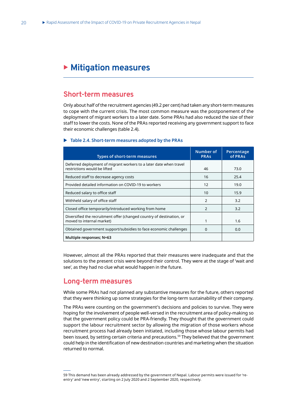## $\triangleright$  **Mitigation measures**

### **Short-term measures**

Only about half of the recruitment agencies (49.2 per cent) had taken any short-term measures to cope with the current crisis. The most common measure was the postponement of the deployment of migrant workers to a later date. Some PRAs had also reduced the size of their staff to lower the costs. None of the PRAs reported receiving any government support to face their economic challenges (table 2.4).

#### $\blacktriangleright$  Table 2.4. Short-term measures adopted by the PRAs

| <b>Types of short-term measures</b>                                                                | Number of<br><b>PRAS</b> | Percentage<br>of PRAs |
|----------------------------------------------------------------------------------------------------|--------------------------|-----------------------|
| Deferred deployment of migrant workers to a later date when travel<br>restrictions would be lifted | 46                       | 73.0                  |
| Reduced staff to decrease agency costs                                                             | 16                       | 25.4                  |
| Provided detailed information on COVID-19 to workers                                               | 12                       | 19.0                  |
| Reduced salary to office staff                                                                     | 10                       | 15.9                  |
| Withheld salary of office staff                                                                    | $\mathfrak{p}$           | 3.2                   |
| Closed office temporarily/introduced working from home                                             | 2                        | 3.2                   |
| Diversified the recruitment offer (changed country of destination, or<br>moved to internal market) |                          | 1.6                   |
| Obtained government support/subsidies to face economic challenges                                  | 0                        | 0.0                   |
| Multiple responses; N=63                                                                           |                          |                       |

However, almost all the PRAs reported that their measures were inadequate and that the solutions to the present crisis were beyond their control. They were at the stage of 'wait and see', as they had no clue what would happen in the future.

#### **Long-term measures**

While some PRAs had not planned any substantive measures for the future, others reported that they were thinking up some strategies for the long-term sustainability of their company.

The PRAs were counting on the government's decisions and policies to survive. They were hoping for the involvement of people well-versed in the recruitment area of policy-making so that the government policy could be PRA-friendly. They thought that the government could support the labour recruitment sector by allowing the migration of those workers whose recruitment process had already been initiated, including those whose labour permits had been issued, by setting certain criteria and precautions.<sup>59</sup> They believed that the government could help in the identification of new destination countries and marketing when the situation returned to normal.

<sup>59</sup> This demand has been already addressed by the government of Nepal. Labour permits were issued for 'reentry' and 'new entry', starting on 2 July 2020 and 2 September 2020, respectively.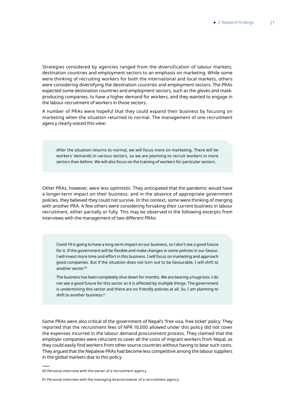Strategies considered by agencies ranged from the diversification of labour markets, destination countries and employment sectors to an emphasis on marketing. While some were thinking of recruiting workers for both the international and local markets, others were considering diversifying the destination countries and employment sectors. The PRAs expected some destination countries and employment sectors, such as the gloves and maskproducing companies, to have a higher demand for workers, and they wanted to engage in the labour recruitment of workers in those sectors.

A number of PRAs were hopeful that they could expand their business by focusing on marketing when the situation returned to normal. The management of one recruitment agency clearly voiced this view:

After the situation returns to normal, we will focus more on marketing. There will be workers' demands in various sectors, so we are planning to recruit workers in more sectors than before. We will also focus on the training of workers for particular sectors.

Other PRAs, however, were less optimistic. They anticipated that the pandemic would have a longer-term impact on their business, and in the absence of appropriate government policies, they believed they could not survive. In this context, some were thinking of merging with another PRA. A few others were considering forsaking their current business in labour recruitment, either partially or fully. This may be observed in the following excerpts from interviews with the management of two different PRAs:

Covid-19 is going to have a long-term impact on our business, so I don't see a good future for it. If the government will be flexible and make changes in some policies in our favour, I will invest more time and effort in this business. I will focus on marketing and approach good companies. But if the situation does not turn out to be favourable, I will shift to another sector.<sup>60</sup>

The business has been completely shut down for months. We are bearing a huge loss. I do not see a good future for this sector as it is affected by multiple things. The government is undermining this sector and there are no friendly policies at all. So, I am planning to shift to another business.<sup>61</sup>

Some PRAs were also critical of the government of Nepal's 'free visa, free ticket' policy. They reported that the recruitment fees of NPR 10,000 allowed under this policy did not cover the expenses incurred in the labour demand procurement process. They claimed that the employer companies were reluctant to cover all the costs of migrant workers from Nepal, as they could easily find workers from other source countries without having to bear such costs. They argued that the Nepalese PRAs had become less competitive among the labour suppliers in the global markets due to this policy.

<sup>60</sup> Personal interview with the owner of a recruitment agency

<sup>61</sup> Personal interview with the managing director/owner of a recruitment agency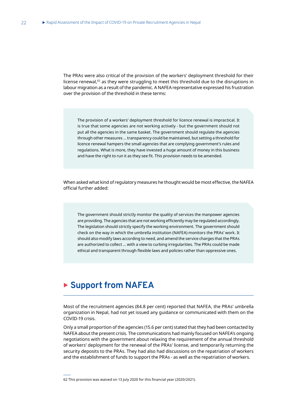The PRAs were also critical of the provision of the workers' deployment threshold for their license renewal, $62$  as they were struggling to meet this threshold due to the disruptions in labour migration as a result of the pandemic. A NAFEA representative expressed his frustration over the provision of the threshold in these terms:

The provision of a workers' deployment threshold for licence renewal is impractical. It is true that some agencies are not working actively - but the government should not put all the agencies in the same basket. The government should regulate the agencies through other measures ... transparency could be maintained, but setting a threshold for licence renewal hampers the small agencies that are complying government's rules and regulations. What is more, they have invested a huge amount of money in this business and have the right to run it as they see fit. This provision needs to be amended.

When asked what kind of regulatory measures he thought would be most effective, the NAFEA official further added:

The government should strictly monitor the quality of services the manpower agencies are providing. The agencies that are not working efficiently may be regulated accordingly. The legislation should strictly specify the working environment. The government should check on the way in which the umbrella institution (NAFEA) monitors the PRAs' work. It should also modify laws according to need, and amend the service charges that the PRAs are authorized to collect ... with a view to curbing irregularities. The PRAs could be made ethical and transparent through flexible laws and policies rather than oppressive ones.

# **Example 3 Support from NAFEA**

Most of the recruitment agencies (84.8 per cent) reported that NAFEA, the PRAs' umbrella organization in Nepal, had not yet issued any guidance or communicated with them on the COVID-19 crisis.

Only a small proportion of the agencies (15.6 per cent) stated that they had been contacted by NAFEA about the present crisis. The communications had mainly focused on NAFEA's ongoing negotiations with the government about relaxing the requirement of the annual threshold of workers' deployment for the renewal of the PRAs' license, and temporarily returning the security deposits to the PRAs. They had also had discussions on the repatriation of workers and the establishment of funds to support the PRAs - as well as the repatriation of workers.

<sup>62</sup> This provision was waived on 13 July 2020 for this financial year (2020/2021).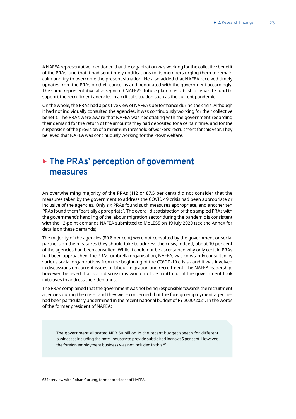A NAFEA representative mentioned that the organization was working for the collective benefit of the PRAs, and that it had sent timely notifications to its members urging them to remain calm and try to overcome the present situation. He also added that NAFEA received timely updates from the PRAs on their concerns and negotiated with the government accordingly. The same representative also reported NAFEA's future plan to establish a separate fund to support the recruitment agencies in a critical situation such as the current pandemic.

On the whole, the PRAs had a positive view of NAFEA's performance during the crisis. Although it had not individually consulted the agencies, it was continuously working for their collective benefit. The PRAs were aware that NAFEA was negotiating with the government regarding their demand for the return of the amounts they had deposited for a certain time, and for the suspension of the provision of a minimum threshold of workers' recruitment for this year. They believed that NAFEA was continuously working for the PRAs' welfare.

# ▶ The PRAs' perception of government **measures**

An overwhelming majority of the PRAs (112 or 87.5 per cent) did not consider that the measures taken by the government to address the COVID-19 crisis had been appropriate or inclusive of the agencies. Only six PRAs found such measures appropriate, and another ten PRAs found them "partially appropriate". The overall dissatisfaction of the sampled PRAs with the government's handling of the labour migration sector during the pandemic is consistent with the 12-point demands NAFEA submitted to MoLESS on 19 July 2020 (see the Annex for details on these demands).

The majority of the agencies (89.8 per cent) were not consulted by the government or social partners on the measures they should take to address the crisis; indeed, about 10 per cent of the agencies had been consulted. While it could not be ascertained why only certain PRAs had been approached, the PRAs' umbrella organisation, NAFEA, was constantly consulted by various social organizations from the beginning of the COVID-19 crisis - and it was involved in discussions on current issues of labour migration and recruitment. The NAFEA leadership, however, believed that such discussions would not be fruitful until the government took initiatives to address their demands.

The PRAs complained that the government was not being responsible towards the recruitment agencies during the crisis, and they were concerned that the foreign employment agencies had been particularly undermined in the recent national budget of FY 2020/2021. In the words of the former president of NAFEA:

The government allocated NPR 50 billion in the recent budget speech for different businesses including the hotel industry to provide subsidized loans at 5 per cent. However, the foreign employment business was not included in this.<sup>63</sup>

<sup>63</sup> Interview with Rohan Gurung, former president of NAFEA.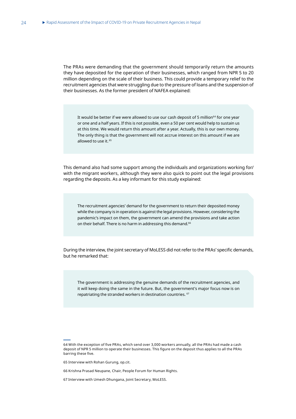The PRAs were demanding that the government should temporarily return the amounts they have deposited for the operation of their businesses, which ranged from NPR 5 to 20 million depending on the scale of their business. This could provide a temporary relief to the recruitment agencies that were struggling due to the pressure of loans and the suspension of their businesses. As the former president of NAFEA explained:

It would be better if we were allowed to use our cash deposit of 5 million<sup>64</sup> for one year or one and a half years. If this is not possible, even a 50 per cent would help to sustain us at this time. We would return this amount after a year. Actually, this is our own money. The only thing is that the government will not accrue interest on this amount if we are allowed to use it. 65

This demand also had some support among the individuals and organizations working for/ with the migrant workers, although they were also quick to point out the legal provisions regarding the deposits. As a key informant for this study explained:

The recruitment agencies' demand for the government to return their deposited money while the company is in operation is against the legal provisions. However, considering the pandemic's impact on them, the government can amend the provisions and take action on their behalf. There is no harm in addressing this demand.<sup>66</sup>

During the interview, the joint secretary of MoLESS did not refer to the PRAs' specific demands, but he remarked that:

The government is addressing the genuine demands of the recruitment agencies, and it will keep doing the same in the future. But, the government's major focus now is on repatriating the stranded workers in destination countries. 67

<sup>64</sup> With the exception of five PRAs, which send over 3,000 workers annually, all the PRAs had made a cash deposit of NPR 5 million to operate their businesses. This figure on the deposit thus applies to all the PRAs barring these five.

<sup>65</sup> Interview with Rohan Gurung, op.cit.

<sup>66</sup> Krishna Prasad Neupane, Chair, People Forum for Human Rights.

<sup>67</sup> Interview with Umesh Dhungana, Joint Secretary, MoLESS.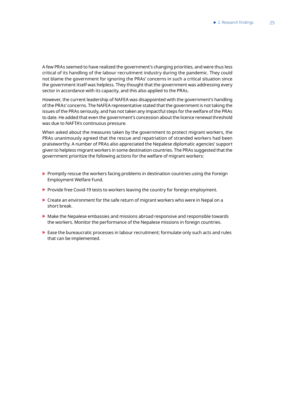A few PRAs seemed to have realized the government's changing priorities, and were thus less critical of its handling of the labour recruitment industry during the pandemic. They could not blame the government for ignoring the PRAs' concerns in such a critical situation since the government itself was helpless. They thought that the government was addressing every sector in accordance with its capacity, and this also applied to the PRAs.

However, the current leadership of NAFEA was disappointed with the government's handling of the PRAs' concerns. The NAFEA representative stated that the government is not taking the issues of the PRAs seriously, and has not taken any impactful steps for the welfare of the PRAs to date. He added that even the government's concession about the licence renewal threshold was due to NAFTA's continuous pressure.

When asked about the measures taken by the government to protect migrant workers, the PRAs unanimously agreed that the rescue and repatriation of stranded workers had been praiseworthy. A number of PRAs also appreciated the Nepalese diplomatic agencies' support given to helpless migrant workers in some destination countries. The PRAs suggested that the government prioritize the following actions for the welfare of migrant workers:

- $\triangleright$  Promptly rescue the workers facing problems in destination countries using the Foreign Employment Welfare Fund.
- $\triangleright$  Provide free Covid-19 tests to workers leaving the country for foreign employment.
- $\triangleright$  Create an environment for the safe return of migrant workers who were in Nepal on a short break.
- $\triangleright$  Make the Nepalese embassies and missions abroad responsive and responsible towards the workers. Monitor the performance of the Nepalese missions in foreign countries.
- $\triangleright$  Ease the bureaucratic processes in labour recruitment; formulate only such acts and rules that can be implemented.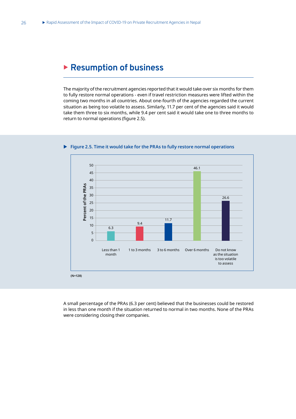# **Example 2 Resumption of business**

The majority of the recruitment agencies reported that it would take over six months for them to fully restore normal operations - even if travel restriction measures were lifted within the coming two months in all countries. About one-fourth of the agencies regarded the current situation as being too volatile to assess. Similarly, 11.7 per cent of the agencies said it would take them three to six months, while 9.4 per cent said it would take one to three months to return to normal operations (figure 2.5).



#### ▶ Figure 2.5. Time it would take for the PRAs to fully restore normal operations

A small percentage of the PRAs (6.3 per cent) believed that the businesses could be restored in less than one month if the situation returned to normal in two months. None of the PRAs were considering closing their companies.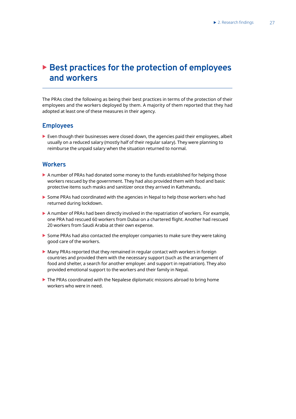# ▶ Best practices for the protection of employees **and workers**

The PRAs cited the following as being their best practices in terms of the protection of their employees and the workers deployed by them. A majority of them reported that they had adopted at least one of these measures in their agency.

## **Employees**

 $\triangleright$  Even though their businesses were closed down, the agencies paid their employees, albeit usually on a reduced salary (mostly half of their regular salary). They were planning to reimburse the unpaid salary when the situation returned to normal.

#### **Workers**

- $\triangleright$  A number of PRAs had donated some money to the funds established for helping those workers rescued by the government. They had also provided them with food and basic protective items such masks and sanitizer once they arrived in Kathmandu.
- $\triangleright$  Some PRAs had coordinated with the agencies in Nepal to help those workers who had returned during lockdown.
- $\triangleright$  A number of PRAs had been directly involved in the repatriation of workers. For example, one PRA had rescued 60 workers from Dubai on a chartered flight. Another had rescued 20 workers from Saudi Arabia at their own expense.
- $\triangleright$  Some PRAs had also contacted the employer companies to make sure they were taking good care of the workers.
- $\triangleright$  Many PRAs reported that they remained in regular contact with workers in foreign countries and provided them with the necessary support (such as the arrangement of food and shelter, a search for another employer. and support in repatriation). They also provided emotional support to the workers and their family in Nepal.
- $\blacktriangleright$  The PRAs coordinated with the Nepalese diplomatic missions abroad to bring home workers who were in need.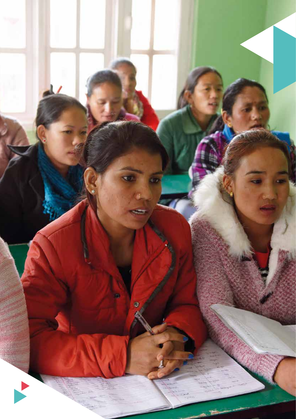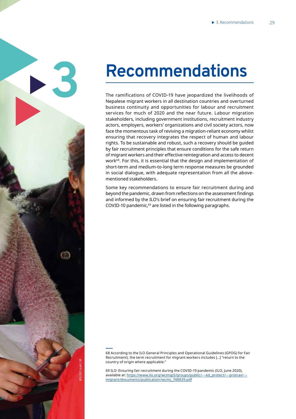# **Recommendations**

The ramifications of COVID-19 have jeopardized the livelihoods of Nepalese migrant workers in all destination countries and overturned business continuity and opportunities for labour and recruitment services for much of 2020 and the near future. Labour migration stakeholders, including government institutions, recruitment industry actors, employers, workers' organizations and civil society actors, now face the momentous task of reviving a migration-reliant economy whilst ensuring that recovery integrates the respect of human and labour rights. To be sustainable and robust, such a recovery should be guided by fair recruitment principles that ensure conditions for the safe return of migrant workers and their effective reintegration and access to decent work<sup>68</sup>. For this, it is essential that the design and implementation of short-term and medium-to-long term response measures be grounded in social dialogue, with adequate representation from all the abovementioned stakeholders.

Some key recommendations to ensure fair recruitment during and beyond the pandemic, drawn from reflections on the assessment findings and informed by the ILO's brief on ensuring fair recruitment during the COVID-10 pandemic,69 are listed in the following paragraphs.

68 According to the ILO General Principles and Operational Guidelines (GPOG) for Fair Recruitment), the term recruitment for migrant workers includes […] "return to the country of origin where applicable."

69 ILO: Ensuring fair recruitment during the COVID-19 pandemic (ILO, June 2020), available at: https://www.ilo.org/wcmsp5/groups/public/---ed\_protect/---protrav/-- migrant/documents/publication/wcms\_748839.pdf

**3**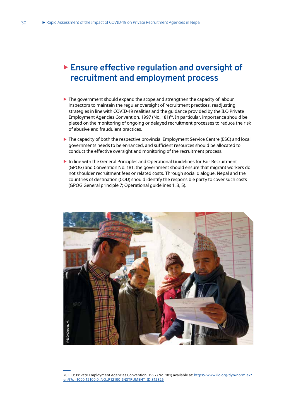## ▶ Ensure effective regulation and oversight of **recruitment and employment process**

- $\blacktriangleright$  The government should expand the scope and strengthen the capacity of labour inspectors to maintain the regular oversight of recruitment practices, readjusting strategies in line with COVID-19 realities and the guidance provided by the ILO Private Employment Agencies Convention, 1997 (No. 181)<sup>70</sup>. In particular, importance should be placed on the monitoring of ongoing or delayed recruitment processes to reduce the risk of abusive and fraudulent practices.
- $\triangleright$  The capacity of both the respective provincial Employment Service Centre (ESC) and local governments needs to be enhanced, and sufficient resources should be allocated to conduct the effective oversight and monitoring of the recruitment process.
- $\triangleright$  In line with the General Principles and Operational Guidelines for Fair Recruitment (GPOG) and Convention No. 181, the government should ensure that migrant workers do not shoulder recruitment fees or related costs. Through social dialogue, Nepal and the countries of destination (COD) should identify the responsible party to cover such costs (GPOG General principle 7; Operational guidelines 1, 3, 5).



<sup>70</sup> ILO: Private Employment Agencies Convention, 1997 (No. 181) available at: https://www.ilo.org/dyn/normlex/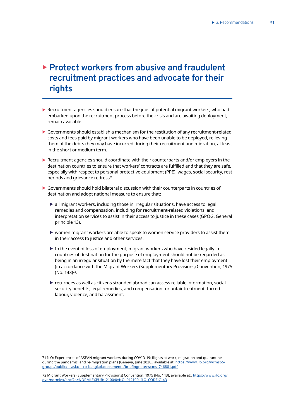# ▶ Protect workers from abusive and fraudulent **recruitment practices and advocate for their rights**

- $\blacktriangleright$  Recruitment agencies should ensure that the jobs of potential migrant workers, who had embarked upon the recruitment process before the crisis and are awaiting deployment, remain available.
- $\triangleright$  Governments should establish a mechanism for the restitution of any recruitment-related costs and fees paid by migrant workers who have been unable to be deployed, relieving them of the debts they may have incurred during their recruitment and migration, at least in the short or medium term.
- $\triangleright$  Recruitment agencies should coordinate with their counterparts and/or employers in the destination countries to ensure that workers' contracts are fulfilled and that they are safe, especially with respect to personal protective equipment (PPE), wages, social security, rest periods and grievance redress<sup>71</sup>.
- $\triangleright$  Governments should hold bilateral discussion with their counterparts in countries of destination and adopt national measure to ensure that:
	- $\triangleright$  all migrant workers, including those in irregular situations, have access to legal remedies and compensation, including for recruitment-related violations, and interpretation services to assist in their access to justice in these cases (GPOG, General principle 13).
	- $\triangleright$  women migrant workers are able to speak to women service providers to assist them in their access to justice and other services.
	- $\triangleright$  In the event of loss of employment, migrant workers who have resided legally in countries of destination for the purpose of employment should not be regarded as being in an irregular situation by the mere fact that they have lost their employment (in accordance with the Migrant Workers (Supplementary Provisions) Convention, 1975 (No. 143)72.
	- $\triangleright$  returnees as well as citizens stranded abroad can access reliable information, social security benefits, legal remedies, and compensation for unfair treatment, forced labour, violence, and harassment.

<sup>71</sup> ILO: Experiences of ASEAN migrant workers during COVID-19: Rights at work, migration and quarantine during the pandemic, and re-migration plans (Geneva, June 2020), available at: https://www.ilo.org/wcmsp5/ groups/public/---asia/---ro-bangkok/documents/briefingnote/wcms\_746881.pdf

<sup>72</sup> Migrant Workers (Supplementary Provisions) Convention, 1975 (No. 143), available at:. https://www.ilo.org/ dyn/normlex/en/f?p=NORMLEXPUB:12100:0::NO::P12100\_ILO\_CODE:C143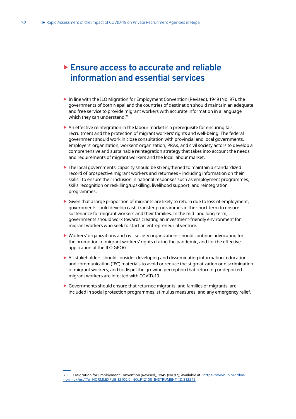# ▶ Ensure access to accurate and reliable **information and essential services**

- $\triangleright$  In line with the ILO Migration for Employment Convention (Revised), 1949 (No. 97), the governments of both Nepal and the countries of destination should maintain an adequate and free service to provide migrant workers with accurate information in a language which they can understand.<sup>73</sup>
- $\blacktriangleright$  An effective reintegration in the labour market is a prerequisite for ensuring fair recruitment and the protection of migrant workers' rights and well-being. The federal government should work in close consultation with provincial and local governments, employers' organization, workers' organization, PRAs, and civil society actors to develop a comprehensive and sustainable reintegration strategy that takes into account the needs and requirements of migrant workers and the local labour market.
- $\triangleright$  The local governments' capacity should be strengthened to maintain a standardized record of prospective migrant workers and returnees – including information on their skills - to ensure their inclusion in national responses such as employment programmes, skills recognition or reskilling/upskilling, livelihood support, and reintegration programmes.
- $\blacktriangleright$  Given that a large proportion of migrants are likely to return due to loss of employment, governments could develop cash-transfer programmes in the short-term to ensure sustenance for migrant workers and their families. In the mid- and long-term, governments should work towards creating an investment-friendly environment for migrant workers who seek to start an entrepreneurial venture.
- $\triangleright$  Workers' organizations and civil society organizations should continue advocating for the promotion of migrant workers' rights during the pandemic, and for the effective application of the ILO GPOG.
- $\blacktriangleright$  All stakeholders should consider developing and disseminating information, education and communication (IEC) materials to avoid or reduce the stigmatization or discrimination of migrant workers, and to dispel the growing perception that returning or deported migrant workers are infected with COVID-19.
- $\blacktriangleright$  Governments should ensure that returnee migrants, and families of migrants, are included in social protection programmes, stimulus measures, and any emergency relief.

<sup>73</sup> ILO Migration for Employment Convention (Revised), 1949 (No.97), available at.: https://www.ilo.org/dyn/ normlex/en/f?p=NORMLEXPUB:12100:0::NO::P12100\_INSTRUMENT\_ID:312242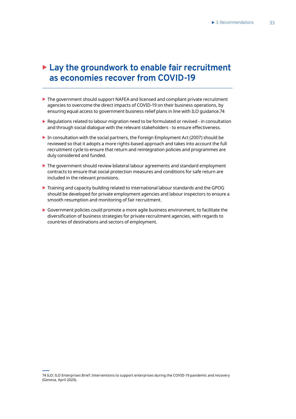# ▶ Lay the groundwork to enable fair recruitment **as economies recover from COVID-19**

- $\blacktriangleright$  The government should support NAFEA and licensed and compliant private recruitment agencies to overcome the direct impacts of COVID-19 on their business operations, by ensuring equal access to government business relief plans in line with ILO guidance.74
- $\triangleright$  Regulations related to labour migration need to be formulated or revised in consultation and through social dialogue with the relevant stakeholders - to ensure effectiveness.
- $\triangleright$  In consultation with the social partners, the Foreign Employment Act (2007) should be reviewed so that it adopts a more rights-based approach and takes into account the full recruitment cycle to ensure that return and reintegration policies and programmes are duly considered and funded.
- $\blacktriangleright$  The government should review bilateral labour agreements and standard employment contracts to ensure that social protection measures and conditions for safe return are included in the relevant provisions.
- $\triangleright$  Training and capacity building related to international labour standards and the GPOG should be developed for private employment agencies and labour inspectors to ensure a smooth resumption and monitoring of fair recruitment.
- $\triangleright$  Government policies could promote a more agile business environment, to facilitate the diversification of business strategies for private recruitment agencies, with regards to countries of destinations and sectors of employment.

<sup>74</sup> ILO: ILO Enterprises Brief: Interventions to support enterprises during the COVID-19 pandemic and recovery (Geneva, April 2020).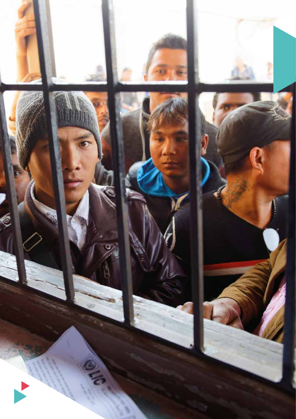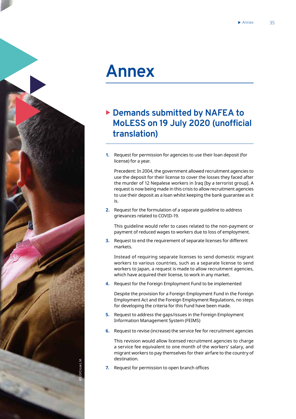# **Annex**

- **Demands submitted by NAFEA to MoLESS on 19 July 2020 (unofficial translation)**
- **1.** Request for permission for agencies to use their loan deposit (for license) for a year.

Precedent: In 2004, the government allowed recruitment agencies to use the deposit for their license to cover the losses they faced after the murder of 12 Nepalese workers in Iraq [by a terrorist group]. A request is now being made in this crisis to allow recruitment agencies to use their deposit as a loan whilst keeping the bank guarantee as it is.

**2.** Request for the formulation of a separate guideline to address grievances related to COVID-19.

This guideline would refer to cases related to the non-payment or payment of reduced wages to workers due to loss of employment.

**3.** Request to end the requirement of separate licenses for different markets.

Instead of requiring separate licenses to send domestic migrant workers to various countries, such as a separate license to send workers to Japan, a request is made to allow recruitment agencies, which have acquired their license, to work in any market.

**4.** Request for the Foreign Employment Fund to be implemented

Despite the provision for a Foreign Employment Fund in the Foreign Employment Act and the Foreign Employment Regulations, no steps for developing the criteria for this Fund have been made.

- **5.** Request to address the gaps/issues in the Foreign Employment Information Management System (FEIMS)
- **6.** Request to revise (increase) the service fee for recruitment agencies

This revision would allow licensed recruitment agencies to charge a service fee equivalent to one month of the workers' salary, and migrant workers to pay themselves for their airfare to the country of destination.

**7.** Request for permission to open branch offices

@ILO/Crozet, M.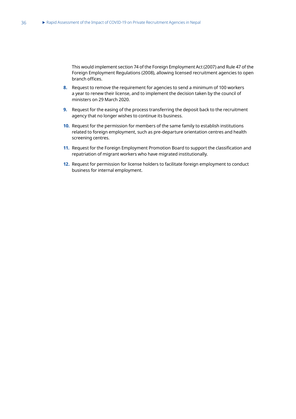This would implement section 74 of the Foreign Employment Act (2007) and Rule 47 of the Foreign Employment Regulations (2008), allowing licensed recruitment agencies to open branch offices.

- **8.** Request to remove the requirement for agencies to send a minimum of 100 workers a year to renew their license, and to implement the decision taken by the council of ministers on 29 March 2020.
- **9.** Request for the easing of the process transferring the deposit back to the recruitment agency that no longer wishes to continue its business.
- **10.** Request for the permission for members of the same family to establish institutions related to foreign employment, such as pre-departure orientation centres and health screening centres.
- **11.** Request for the Foreign Employment Promotion Board to support the classification and repatriation of migrant workers who have migrated institutionally.
- **12.** Request for permission for license holders to facilitate foreign employment to conduct business for internal employment.